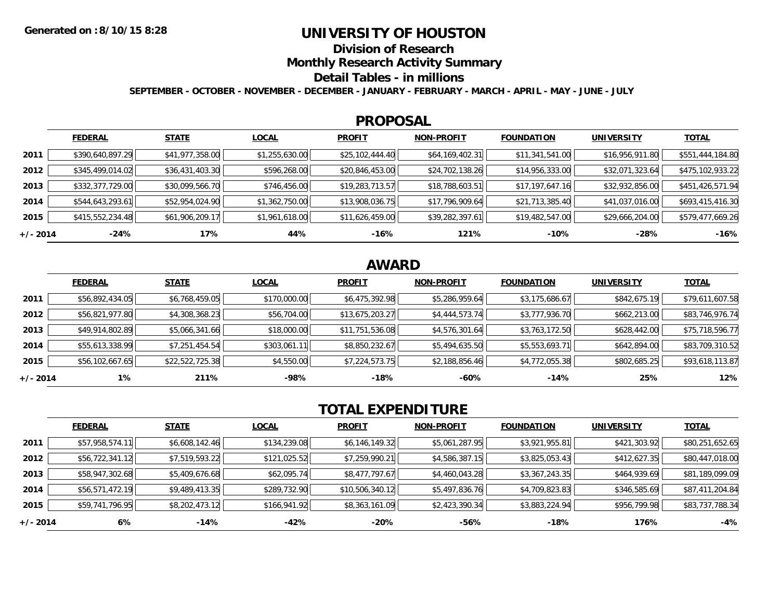## **UNIVERSITY OF HOUSTON**

**Division of Research**

**Monthly Research Activity Summary**

### **Detail Tables - in millions**

**SEPTEMBER - OCTOBER - NOVEMBER - DECEMBER - JANUARY - FEBRUARY - MARCH - APRIL - MAY - JUNE - JULY**

### **PROPOSAL**

|            | <b>FEDERAL</b>   | <b>STATE</b>    | <b>LOCAL</b>   | <b>PROFIT</b>   | <b>NON-PROFIT</b> | <b>FOUNDATION</b> | <b>UNIVERSITY</b> | <u>TOTAL</u>     |
|------------|------------------|-----------------|----------------|-----------------|-------------------|-------------------|-------------------|------------------|
| 2011       | \$390,640,897.29 | \$41,977,358.00 | \$1,255,630.00 | \$25,102,444.40 | \$64,169,402.31   | \$11,341,541.00   | \$16,956,911.80   | \$551,444,184.80 |
| 2012       | \$345,499,014.02 | \$36,431,403.30 | \$596,268.00   | \$20,846,453.00 | \$24,702,138.26   | \$14,956,333.00   | \$32,071,323.64   | \$475,102,933.22 |
| 2013       | \$332,377,729.00 | \$30,099,566.70 | \$746,456.00   | \$19,283,713.57 | \$18,788,603.51   | \$17,197,647.16   | \$32,932,856.00   | \$451,426,571.94 |
| 2014       | \$544,643,293.61 | \$52,954,024.90 | \$1,362,750.00 | \$13,908,036.75 | \$17,796,909.64   | \$21,713,385.40   | \$41,037,016.00   | \$693,415,416.30 |
| 2015       | \$415,552,234.48 | \$61,906,209.17 | \$1,961,618.00 | \$11,626,459.00 | \$39,282,397.61   | \$19,482,547.00   | \$29,666,204.00   | \$579,477,669.26 |
| $+/- 2014$ | -24%             | 17%             | 44%            | -16%            | 121%              | $-10%$            | $-28%$            | $-16%$           |

# **AWARD**

|          | <b>FEDERAL</b>  | <b>STATE</b>    | <b>LOCAL</b> | <b>PROFIT</b>   | <b>NON-PROFIT</b> | <b>FOUNDATION</b> | <b>UNIVERSITY</b> | <b>TOTAL</b>    |
|----------|-----------------|-----------------|--------------|-----------------|-------------------|-------------------|-------------------|-----------------|
| 2011     | \$56,892,434.05 | \$6,768,459.05  | \$170,000.00 | \$6,475,392.98  | \$5,286,959.64    | \$3,175,686.67    | \$842,675.19      | \$79,611,607.58 |
| 2012     | \$56,821,977.80 | \$4,308,368.23  | \$56,704.00  | \$13,675,203.27 | \$4,444,573.74    | \$3,777,936.70    | \$662,213.00      | \$83,746,976.74 |
| 2013     | \$49,914,802.89 | \$5,066,341.66  | \$18,000.00  | \$11,751,536.08 | \$4,576,301.64    | \$3,763,172.50    | \$628,442.00      | \$75,718,596.77 |
| 2014     | \$55,613,338.99 | \$7,251,454.54  | \$303,061.11 | \$8,850,232.67  | \$5,494,635.50    | \$5,553,693.71    | \$642,894.00      | \$83,709,310.52 |
| 2015     | \$56,102,667.65 | \$22,522,725.38 | \$4,550.00   | \$7,224,573.75  | \$2,188,856.46    | \$4,772,055.38    | \$802,685.25      | \$93,618,113.87 |
| +/- 2014 | 1%              | 211%            | -98%         | $-18%$          | -60%              | $-14%$            | 25%               | 12%             |

# **TOTAL EXPENDITURE**

|            | <b>FEDERAL</b>  | <b>STATE</b>   | <b>LOCAL</b> | <b>PROFIT</b>   | <b>NON-PROFIT</b> | <b>FOUNDATION</b> | <b>UNIVERSITY</b> | <b>TOTAL</b>    |
|------------|-----------------|----------------|--------------|-----------------|-------------------|-------------------|-------------------|-----------------|
| 2011       | \$57,958,574.11 | \$6,608,142.46 | \$134,239.08 | \$6,146,149.32  | \$5,061,287.95    | \$3,921,955.81    | \$421,303.92      | \$80,251,652.65 |
| 2012       | \$56,722,341.12 | \$7,519,593.22 | \$121,025.52 | \$7,259,990.21  | \$4,586,387.15    | \$3,825,053.43    | \$412,627.35      | \$80,447,018.00 |
| 2013       | \$58,947,302.68 | \$5,409,676.68 | \$62,095.74  | \$8,477,797.67  | \$4,460,043.28    | \$3,367,243.35    | \$464,939.69      | \$81,189,099.09 |
| 2014       | \$56,571,472.19 | \$9,489,413.35 | \$289,732.90 | \$10,506,340.12 | \$5,497,836.76    | \$4,709,823.83    | \$346,585.69      | \$87,411,204.84 |
| 2015       | \$59,741,796.95 | \$8,202,473.12 | \$166,941.92 | \$8,363,161.09  | \$2,423,390.34    | \$3,883,224.94    | \$956,799.98      | \$83,737,788.34 |
| $+/- 2014$ | 6%              | $-14%$         | $-42%$       | $-20%$          | -56%              | $-18%$            | 176%              | -4%             |